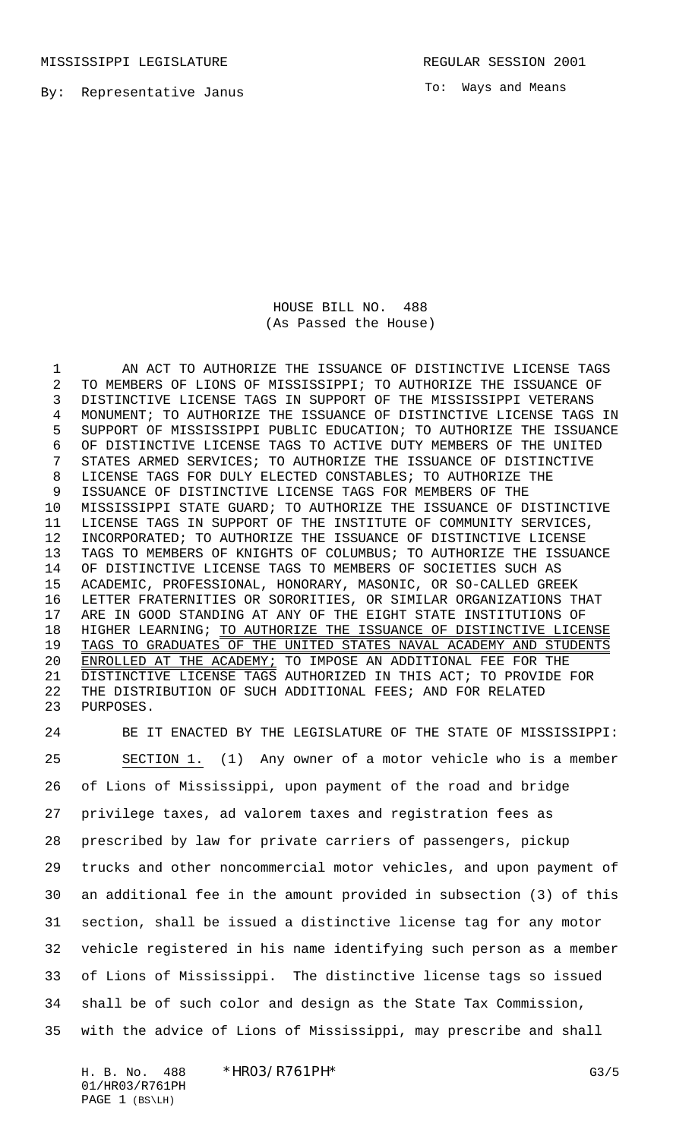To: Ways and Means

HOUSE BILL NO. 488 (As Passed the House)

1 AN ACT TO AUTHORIZE THE ISSUANCE OF DISTINCTIVE LICENSE TAGS TO MEMBERS OF LIONS OF MISSISSIPPI; TO AUTHORIZE THE ISSUANCE OF DISTINCTIVE LICENSE TAGS IN SUPPORT OF THE MISSISSIPPI VETERANS MONUMENT; TO AUTHORIZE THE ISSUANCE OF DISTINCTIVE LICENSE TAGS IN SUPPORT OF MISSISSIPPI PUBLIC EDUCATION; TO AUTHORIZE THE ISSUANCE OF DISTINCTIVE LICENSE TAGS TO ACTIVE DUTY MEMBERS OF THE UNITED STATES ARMED SERVICES; TO AUTHORIZE THE ISSUANCE OF DISTINCTIVE LICENSE TAGS FOR DULY ELECTED CONSTABLES; TO AUTHORIZE THE ISSUANCE OF DISTINCTIVE LICENSE TAGS FOR MEMBERS OF THE MISSISSIPPI STATE GUARD; TO AUTHORIZE THE ISSUANCE OF DISTINCTIVE LICENSE TAGS IN SUPPORT OF THE INSTITUTE OF COMMUNITY SERVICES, INCORPORATED; TO AUTHORIZE THE ISSUANCE OF DISTINCTIVE LICENSE TAGS TO MEMBERS OF KNIGHTS OF COLUMBUS; TO AUTHORIZE THE ISSUANCE OF DISTINCTIVE LICENSE TAGS TO MEMBERS OF SOCIETIES SUCH AS ACADEMIC, PROFESSIONAL, HONORARY, MASONIC, OR SO-CALLED GREEK LETTER FRATERNITIES OR SORORITIES, OR SIMILAR ORGANIZATIONS THAT ARE IN GOOD STANDING AT ANY OF THE EIGHT STATE INSTITUTIONS OF 18 HIGHER LEARNING; TO AUTHORIZE THE ISSUANCE OF DISTINCTIVE LICENSE 19 TAGS TO GRADUATES OF THE UNITED STATES NAVAL ACADEMY AND STUDENTS ENROLLED AT THE ACADEMY; TO IMPOSE AN ADDITIONAL FEE FOR THE DISTINCTIVE LICENSE TAGS AUTHORIZED IN THIS ACT; TO PROVIDE FOR THE DISTRIBUTION OF SUCH ADDITIONAL FEES; AND FOR RELATED PURPOSES.

 BE IT ENACTED BY THE LEGISLATURE OF THE STATE OF MISSISSIPPI: SECTION 1. (1) Any owner of a motor vehicle who is a member of Lions of Mississippi, upon payment of the road and bridge privilege taxes, ad valorem taxes and registration fees as prescribed by law for private carriers of passengers, pickup trucks and other noncommercial motor vehicles, and upon payment of an additional fee in the amount provided in subsection (3) of this section, shall be issued a distinctive license tag for any motor vehicle registered in his name identifying such person as a member of Lions of Mississippi. The distinctive license tags so issued shall be of such color and design as the State Tax Commission, with the advice of Lions of Mississippi, may prescribe and shall

H. B. No. 488 \*HRO3/R761PH\* G3/5 01/HR03/R761PH PAGE 1 (BS\LH)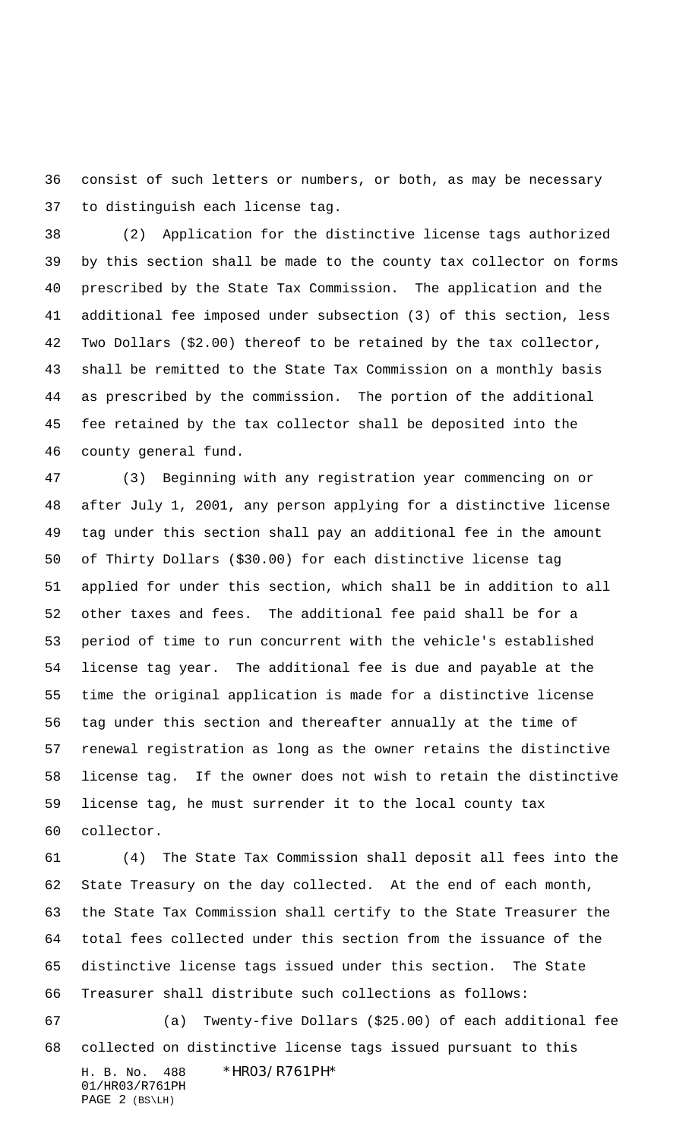consist of such letters or numbers, or both, as may be necessary to distinguish each license tag.

 (2) Application for the distinctive license tags authorized by this section shall be made to the county tax collector on forms prescribed by the State Tax Commission. The application and the additional fee imposed under subsection (3) of this section, less Two Dollars (\$2.00) thereof to be retained by the tax collector, shall be remitted to the State Tax Commission on a monthly basis as prescribed by the commission. The portion of the additional fee retained by the tax collector shall be deposited into the county general fund.

 (3) Beginning with any registration year commencing on or after July 1, 2001, any person applying for a distinctive license tag under this section shall pay an additional fee in the amount of Thirty Dollars (\$30.00) for each distinctive license tag applied for under this section, which shall be in addition to all other taxes and fees. The additional fee paid shall be for a period of time to run concurrent with the vehicle's established license tag year. The additional fee is due and payable at the time the original application is made for a distinctive license tag under this section and thereafter annually at the time of renewal registration as long as the owner retains the distinctive license tag. If the owner does not wish to retain the distinctive license tag, he must surrender it to the local county tax collector.

 (4) The State Tax Commission shall deposit all fees into the State Treasury on the day collected. At the end of each month, the State Tax Commission shall certify to the State Treasurer the total fees collected under this section from the issuance of the distinctive license tags issued under this section. The State Treasurer shall distribute such collections as follows: (a) Twenty-five Dollars (\$25.00) of each additional fee

H. B. No. 488 \*HR03/R761PH\* 01/HR03/R761PH PAGE 2 (BS\LH) collected on distinctive license tags issued pursuant to this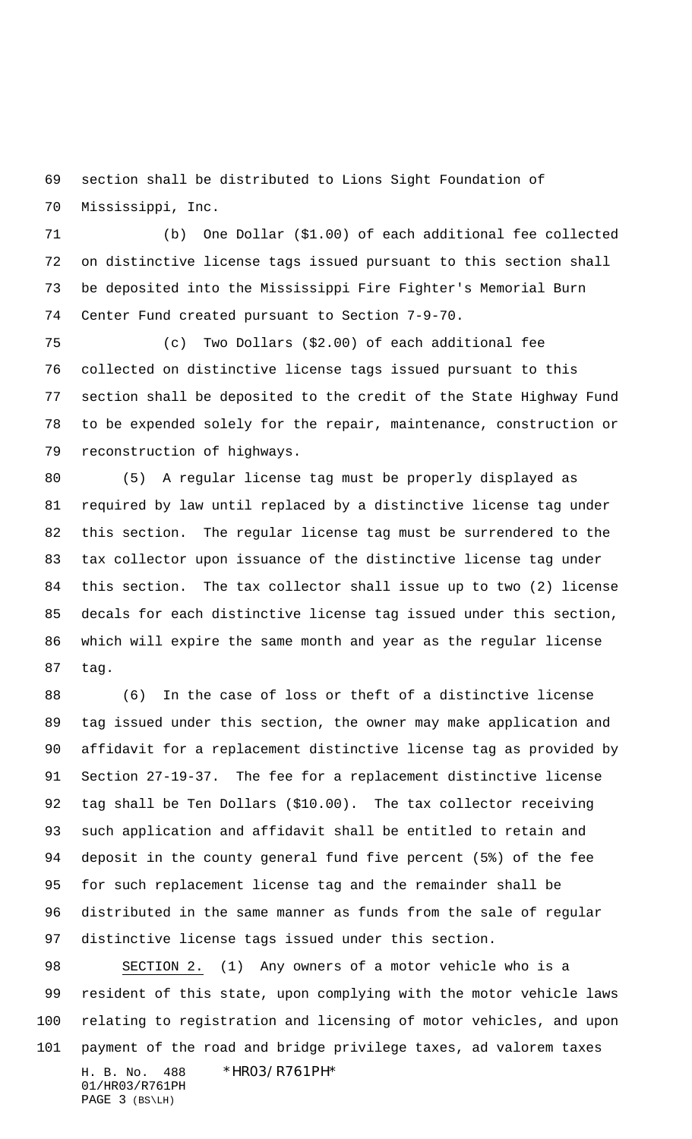section shall be distributed to Lions Sight Foundation of Mississippi, Inc.

 (b) One Dollar (\$1.00) of each additional fee collected on distinctive license tags issued pursuant to this section shall be deposited into the Mississippi Fire Fighter's Memorial Burn Center Fund created pursuant to Section 7-9-70.

 (c) Two Dollars (\$2.00) of each additional fee collected on distinctive license tags issued pursuant to this section shall be deposited to the credit of the State Highway Fund to be expended solely for the repair, maintenance, construction or reconstruction of highways.

 (5) A regular license tag must be properly displayed as required by law until replaced by a distinctive license tag under this section. The regular license tag must be surrendered to the tax collector upon issuance of the distinctive license tag under this section. The tax collector shall issue up to two (2) license decals for each distinctive license tag issued under this section, which will expire the same month and year as the regular license tag.

 (6) In the case of loss or theft of a distinctive license tag issued under this section, the owner may make application and affidavit for a replacement distinctive license tag as provided by Section 27-19-37. The fee for a replacement distinctive license tag shall be Ten Dollars (\$10.00). The tax collector receiving such application and affidavit shall be entitled to retain and deposit in the county general fund five percent (5%) of the fee for such replacement license tag and the remainder shall be distributed in the same manner as funds from the sale of regular distinctive license tags issued under this section.

H. B. No. 488 \*HR03/R761PH\* 01/HR03/R761PH SECTION 2. (1) Any owners of a motor vehicle who is a resident of this state, upon complying with the motor vehicle laws relating to registration and licensing of motor vehicles, and upon payment of the road and bridge privilege taxes, ad valorem taxes

```
PAGE 3 (BS\LH)
```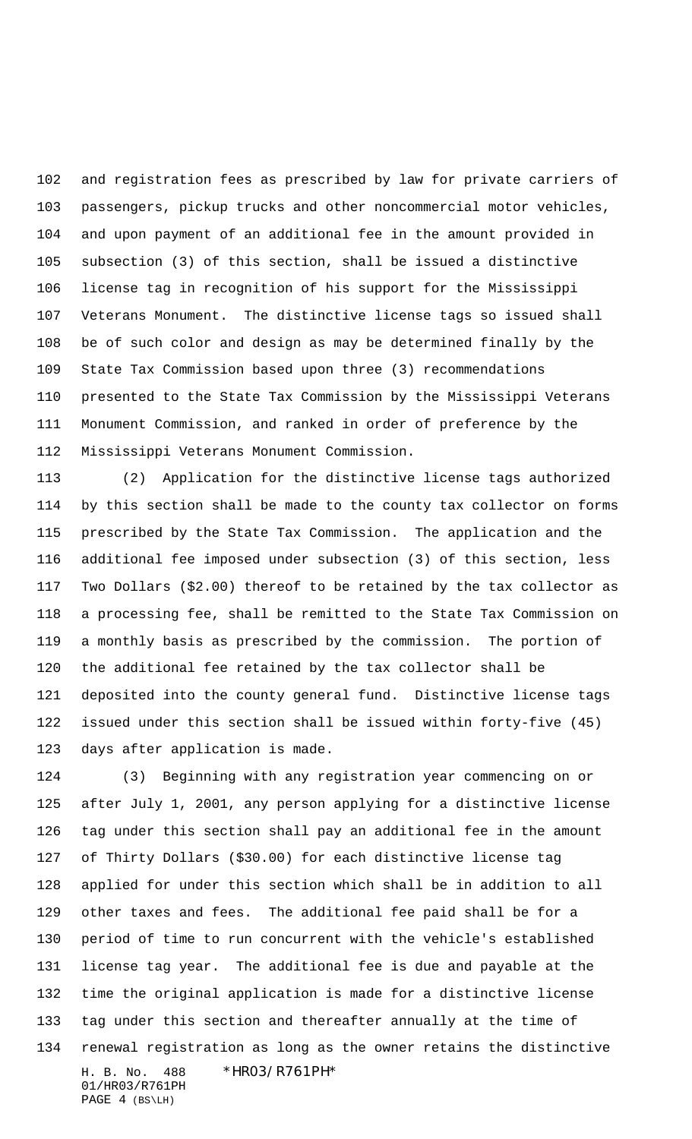and registration fees as prescribed by law for private carriers of passengers, pickup trucks and other noncommercial motor vehicles, and upon payment of an additional fee in the amount provided in subsection (3) of this section, shall be issued a distinctive license tag in recognition of his support for the Mississippi Veterans Monument. The distinctive license tags so issued shall be of such color and design as may be determined finally by the State Tax Commission based upon three (3) recommendations presented to the State Tax Commission by the Mississippi Veterans Monument Commission, and ranked in order of preference by the Mississippi Veterans Monument Commission.

 (2) Application for the distinctive license tags authorized by this section shall be made to the county tax collector on forms prescribed by the State Tax Commission. The application and the additional fee imposed under subsection (3) of this section, less Two Dollars (\$2.00) thereof to be retained by the tax collector as a processing fee, shall be remitted to the State Tax Commission on a monthly basis as prescribed by the commission. The portion of the additional fee retained by the tax collector shall be deposited into the county general fund. Distinctive license tags issued under this section shall be issued within forty-five (45) days after application is made.

H. B. No. 488 \*HR03/R761PH\* 01/HR03/R761PH (3) Beginning with any registration year commencing on or after July 1, 2001, any person applying for a distinctive license tag under this section shall pay an additional fee in the amount of Thirty Dollars (\$30.00) for each distinctive license tag applied for under this section which shall be in addition to all other taxes and fees. The additional fee paid shall be for a period of time to run concurrent with the vehicle's established license tag year. The additional fee is due and payable at the time the original application is made for a distinctive license tag under this section and thereafter annually at the time of renewal registration as long as the owner retains the distinctive

PAGE 4 (BS\LH)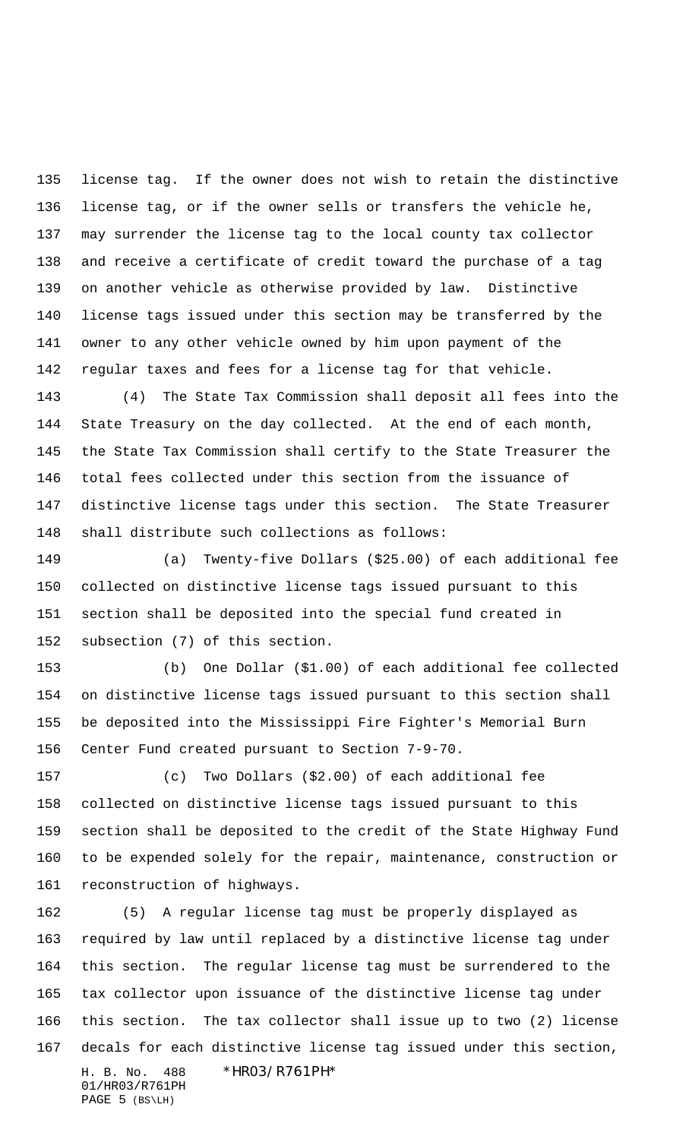license tag. If the owner does not wish to retain the distinctive license tag, or if the owner sells or transfers the vehicle he, may surrender the license tag to the local county tax collector and receive a certificate of credit toward the purchase of a tag on another vehicle as otherwise provided by law. Distinctive license tags issued under this section may be transferred by the owner to any other vehicle owned by him upon payment of the regular taxes and fees for a license tag for that vehicle.

 (4) The State Tax Commission shall deposit all fees into the State Treasury on the day collected. At the end of each month, the State Tax Commission shall certify to the State Treasurer the total fees collected under this section from the issuance of distinctive license tags under this section. The State Treasurer shall distribute such collections as follows:

 (a) Twenty-five Dollars (\$25.00) of each additional fee collected on distinctive license tags issued pursuant to this section shall be deposited into the special fund created in subsection (7) of this section.

 (b) One Dollar (\$1.00) of each additional fee collected on distinctive license tags issued pursuant to this section shall be deposited into the Mississippi Fire Fighter's Memorial Burn Center Fund created pursuant to Section 7-9-70.

 (c) Two Dollars (\$2.00) of each additional fee collected on distinctive license tags issued pursuant to this section shall be deposited to the credit of the State Highway Fund to be expended solely for the repair, maintenance, construction or reconstruction of highways.

H. B. No. 488 \*HR03/R761PH\* 01/HR03/R761PH (5) A regular license tag must be properly displayed as required by law until replaced by a distinctive license tag under this section. The regular license tag must be surrendered to the tax collector upon issuance of the distinctive license tag under this section. The tax collector shall issue up to two (2) license decals for each distinctive license tag issued under this section,

PAGE 5 (BS\LH)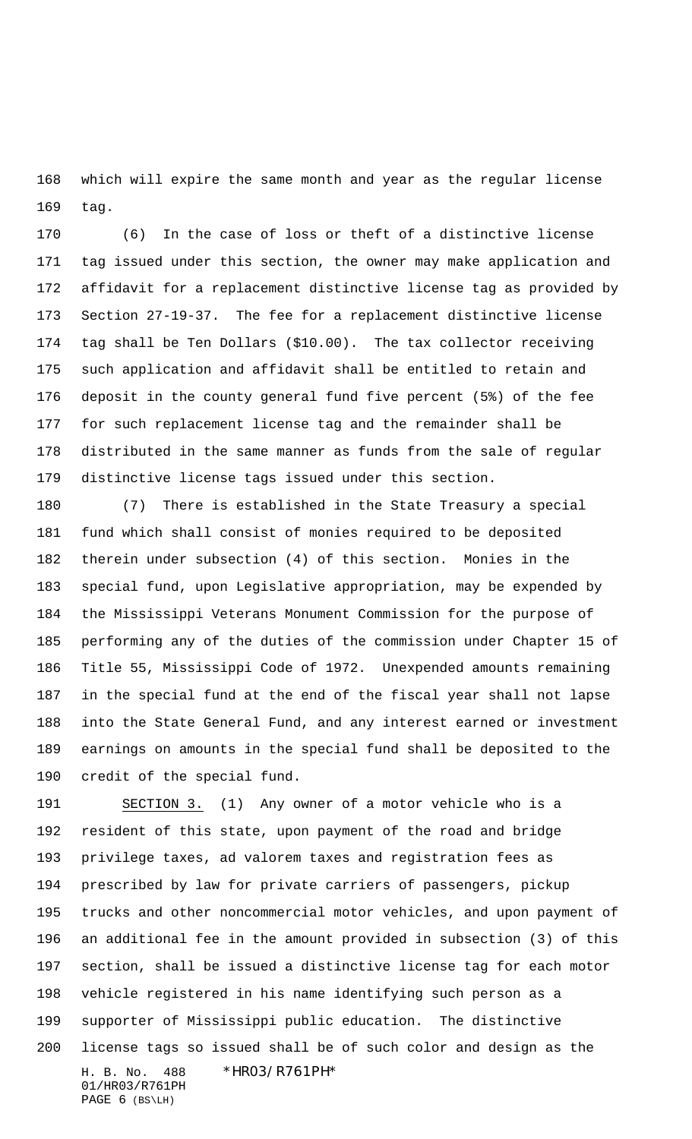which will expire the same month and year as the regular license tag.

 (6) In the case of loss or theft of a distinctive license tag issued under this section, the owner may make application and affidavit for a replacement distinctive license tag as provided by Section 27-19-37. The fee for a replacement distinctive license tag shall be Ten Dollars (\$10.00). The tax collector receiving such application and affidavit shall be entitled to retain and deposit in the county general fund five percent (5%) of the fee for such replacement license tag and the remainder shall be distributed in the same manner as funds from the sale of regular distinctive license tags issued under this section.

 (7) There is established in the State Treasury a special fund which shall consist of monies required to be deposited therein under subsection (4) of this section. Monies in the special fund, upon Legislative appropriation, may be expended by the Mississippi Veterans Monument Commission for the purpose of performing any of the duties of the commission under Chapter 15 of Title 55, Mississippi Code of 1972. Unexpended amounts remaining in the special fund at the end of the fiscal year shall not lapse into the State General Fund, and any interest earned or investment earnings on amounts in the special fund shall be deposited to the credit of the special fund.

H. B. No. 488 \*HR03/R761PH\* 01/HR03/R761PH SECTION 3. (1) Any owner of a motor vehicle who is a resident of this state, upon payment of the road and bridge privilege taxes, ad valorem taxes and registration fees as prescribed by law for private carriers of passengers, pickup trucks and other noncommercial motor vehicles, and upon payment of an additional fee in the amount provided in subsection (3) of this section, shall be issued a distinctive license tag for each motor vehicle registered in his name identifying such person as a supporter of Mississippi public education. The distinctive license tags so issued shall be of such color and design as the

PAGE 6 (BS\LH)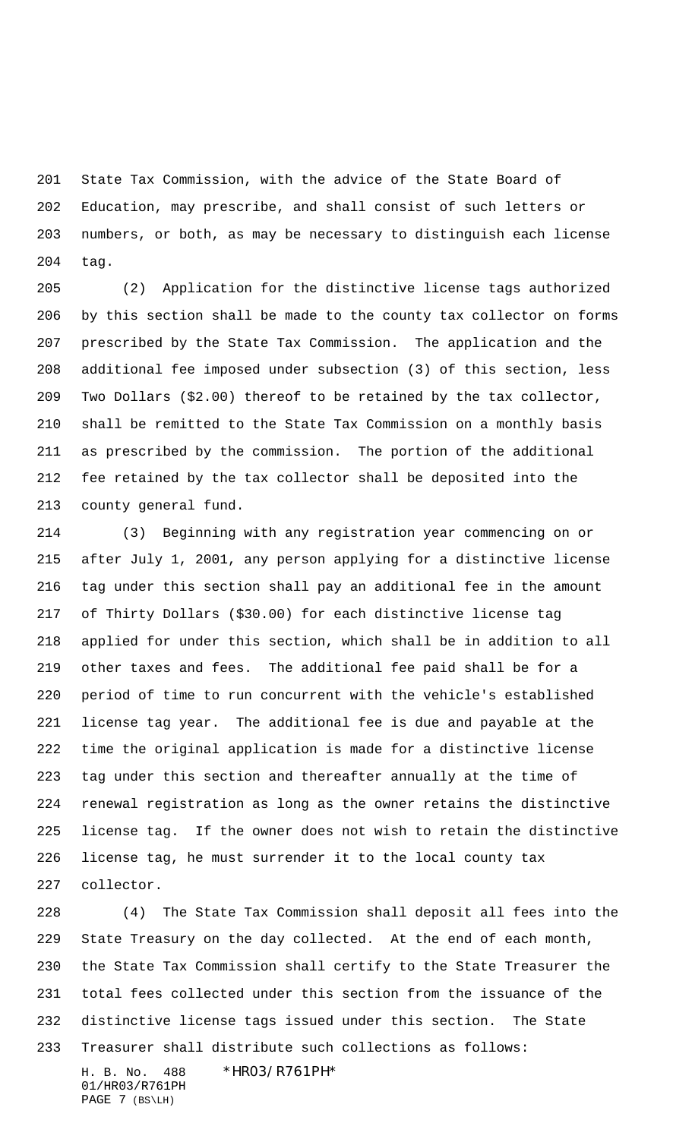State Tax Commission, with the advice of the State Board of Education, may prescribe, and shall consist of such letters or numbers, or both, as may be necessary to distinguish each license tag.

 (2) Application for the distinctive license tags authorized by this section shall be made to the county tax collector on forms prescribed by the State Tax Commission. The application and the additional fee imposed under subsection (3) of this section, less Two Dollars (\$2.00) thereof to be retained by the tax collector, shall be remitted to the State Tax Commission on a monthly basis as prescribed by the commission. The portion of the additional fee retained by the tax collector shall be deposited into the county general fund.

 (3) Beginning with any registration year commencing on or after July 1, 2001, any person applying for a distinctive license tag under this section shall pay an additional fee in the amount of Thirty Dollars (\$30.00) for each distinctive license tag applied for under this section, which shall be in addition to all other taxes and fees. The additional fee paid shall be for a period of time to run concurrent with the vehicle's established license tag year. The additional fee is due and payable at the time the original application is made for a distinctive license tag under this section and thereafter annually at the time of renewal registration as long as the owner retains the distinctive license tag. If the owner does not wish to retain the distinctive license tag, he must surrender it to the local county tax collector.

 (4) The State Tax Commission shall deposit all fees into the State Treasury on the day collected. At the end of each month, the State Tax Commission shall certify to the State Treasurer the total fees collected under this section from the issuance of the distinctive license tags issued under this section. The State Treasurer shall distribute such collections as follows:

01/HR03/R761PH PAGE 7 (BS\LH)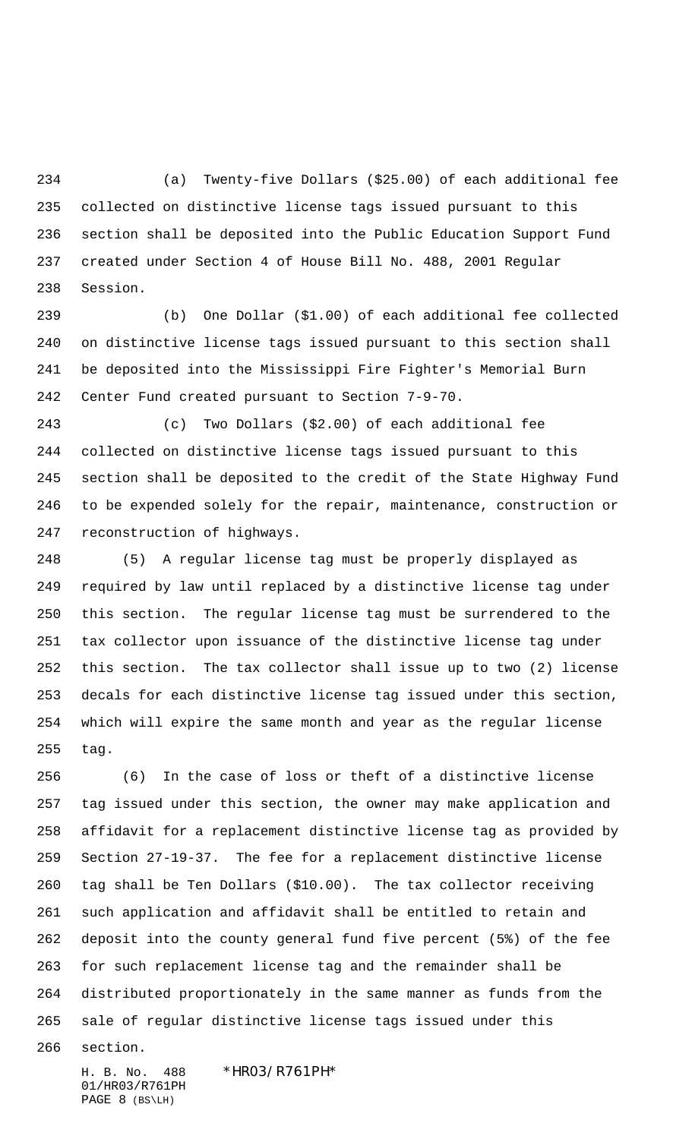(a) Twenty-five Dollars (\$25.00) of each additional fee collected on distinctive license tags issued pursuant to this section shall be deposited into the Public Education Support Fund created under Section 4 of House Bill No. 488, 2001 Regular Session.

 (b) One Dollar (\$1.00) of each additional fee collected on distinctive license tags issued pursuant to this section shall be deposited into the Mississippi Fire Fighter's Memorial Burn Center Fund created pursuant to Section 7-9-70.

 (c) Two Dollars (\$2.00) of each additional fee collected on distinctive license tags issued pursuant to this section shall be deposited to the credit of the State Highway Fund to be expended solely for the repair, maintenance, construction or reconstruction of highways.

 (5) A regular license tag must be properly displayed as required by law until replaced by a distinctive license tag under this section. The regular license tag must be surrendered to the tax collector upon issuance of the distinctive license tag under this section. The tax collector shall issue up to two (2) license decals for each distinctive license tag issued under this section, which will expire the same month and year as the regular license tag.

 (6) In the case of loss or theft of a distinctive license tag issued under this section, the owner may make application and affidavit for a replacement distinctive license tag as provided by Section 27-19-37. The fee for a replacement distinctive license tag shall be Ten Dollars (\$10.00). The tax collector receiving such application and affidavit shall be entitled to retain and deposit into the county general fund five percent (5%) of the fee for such replacement license tag and the remainder shall be distributed proportionately in the same manner as funds from the sale of regular distinctive license tags issued under this

section.

H. B. No. 488 \*HR03/R761PH\* 01/HR03/R761PH PAGE 8 (BS\LH)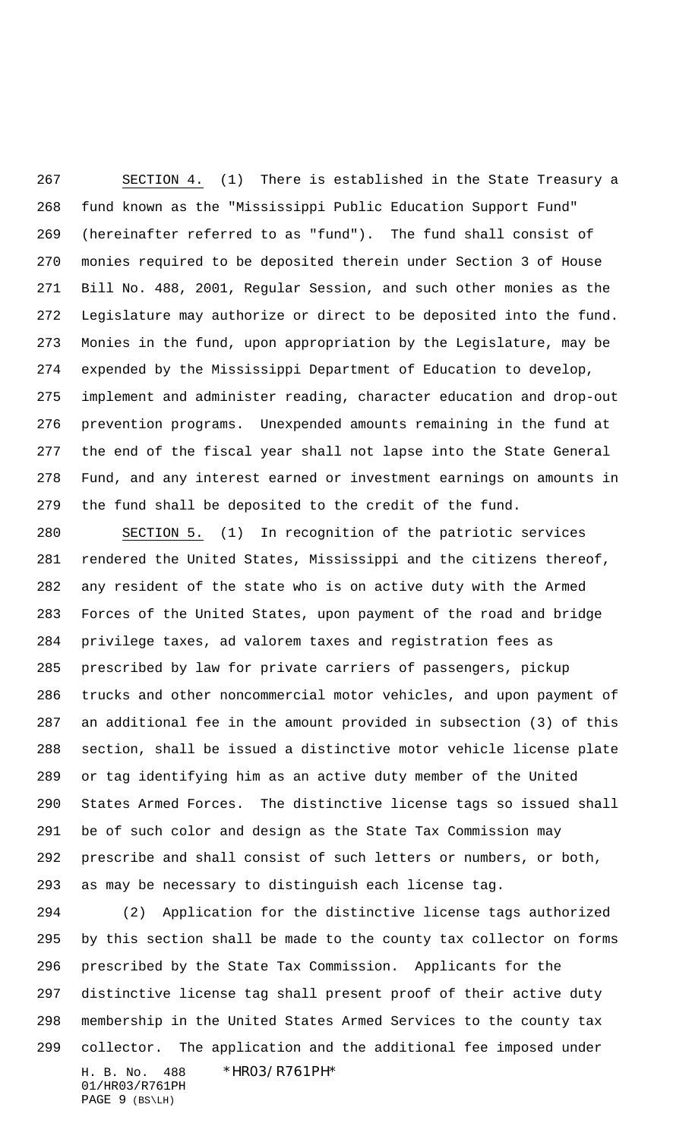SECTION 4. (1) There is established in the State Treasury a fund known as the "Mississippi Public Education Support Fund" (hereinafter referred to as "fund"). The fund shall consist of monies required to be deposited therein under Section 3 of House Bill No. 488, 2001, Regular Session, and such other monies as the Legislature may authorize or direct to be deposited into the fund. Monies in the fund, upon appropriation by the Legislature, may be expended by the Mississippi Department of Education to develop, implement and administer reading, character education and drop-out prevention programs. Unexpended amounts remaining in the fund at the end of the fiscal year shall not lapse into the State General Fund, and any interest earned or investment earnings on amounts in the fund shall be deposited to the credit of the fund.

 SECTION 5. (1) In recognition of the patriotic services rendered the United States, Mississippi and the citizens thereof, any resident of the state who is on active duty with the Armed Forces of the United States, upon payment of the road and bridge privilege taxes, ad valorem taxes and registration fees as prescribed by law for private carriers of passengers, pickup trucks and other noncommercial motor vehicles, and upon payment of an additional fee in the amount provided in subsection (3) of this section, shall be issued a distinctive motor vehicle license plate or tag identifying him as an active duty member of the United States Armed Forces. The distinctive license tags so issued shall be of such color and design as the State Tax Commission may prescribe and shall consist of such letters or numbers, or both, as may be necessary to distinguish each license tag.

H. B. No. 488 \*HR03/R761PH\* 01/HR03/R761PH (2) Application for the distinctive license tags authorized by this section shall be made to the county tax collector on forms prescribed by the State Tax Commission. Applicants for the distinctive license tag shall present proof of their active duty membership in the United States Armed Services to the county tax collector. The application and the additional fee imposed under

PAGE 9 (BS\LH)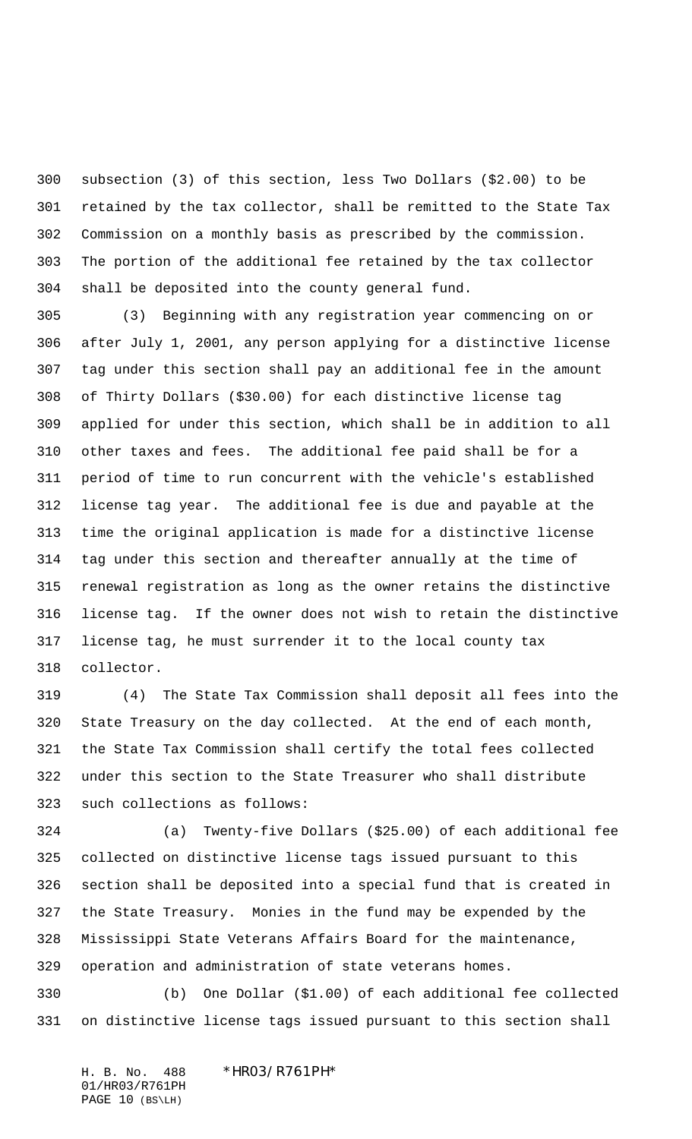subsection (3) of this section, less Two Dollars (\$2.00) to be retained by the tax collector, shall be remitted to the State Tax Commission on a monthly basis as prescribed by the commission. The portion of the additional fee retained by the tax collector shall be deposited into the county general fund.

 (3) Beginning with any registration year commencing on or after July 1, 2001, any person applying for a distinctive license tag under this section shall pay an additional fee in the amount of Thirty Dollars (\$30.00) for each distinctive license tag applied for under this section, which shall be in addition to all other taxes and fees. The additional fee paid shall be for a period of time to run concurrent with the vehicle's established license tag year. The additional fee is due and payable at the time the original application is made for a distinctive license tag under this section and thereafter annually at the time of renewal registration as long as the owner retains the distinctive license tag. If the owner does not wish to retain the distinctive license tag, he must surrender it to the local county tax collector.

 (4) The State Tax Commission shall deposit all fees into the State Treasury on the day collected. At the end of each month, the State Tax Commission shall certify the total fees collected under this section to the State Treasurer who shall distribute such collections as follows:

 (a) Twenty-five Dollars (\$25.00) of each additional fee collected on distinctive license tags issued pursuant to this section shall be deposited into a special fund that is created in the State Treasury. Monies in the fund may be expended by the Mississippi State Veterans Affairs Board for the maintenance, operation and administration of state veterans homes.

 (b) One Dollar (\$1.00) of each additional fee collected on distinctive license tags issued pursuant to this section shall

H. B. No. 488 \*HR03/R761PH\* 01/HR03/R761PH PAGE 10 (BS\LH)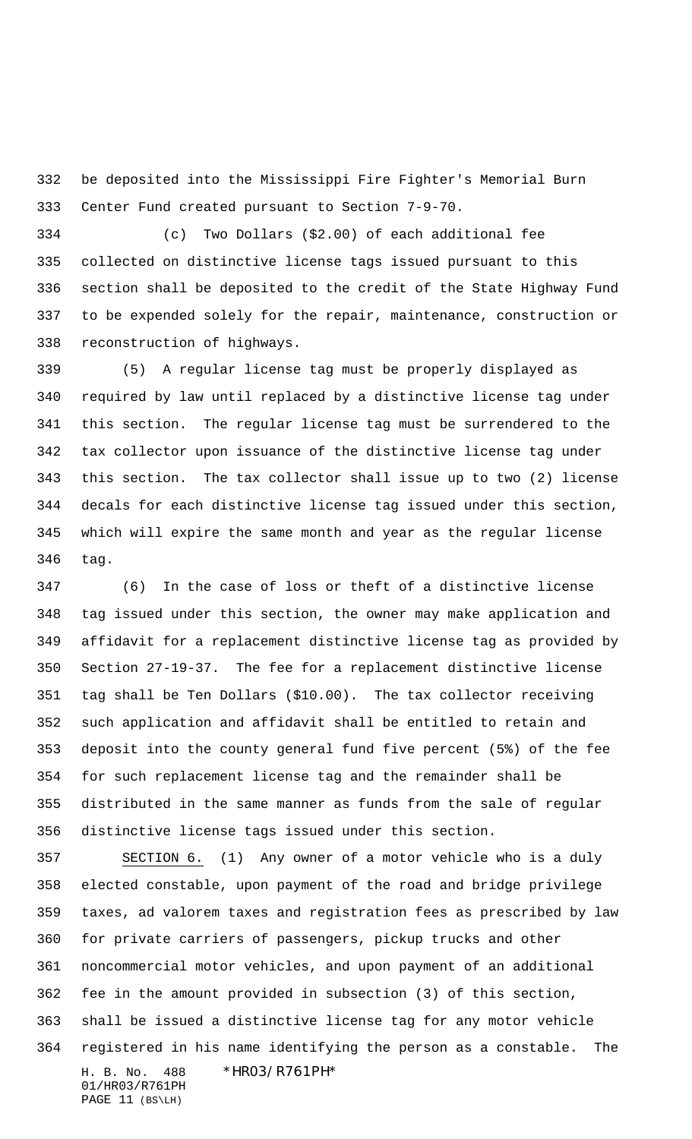be deposited into the Mississippi Fire Fighter's Memorial Burn Center Fund created pursuant to Section 7-9-70.

 (c) Two Dollars (\$2.00) of each additional fee collected on distinctive license tags issued pursuant to this section shall be deposited to the credit of the State Highway Fund to be expended solely for the repair, maintenance, construction or reconstruction of highways.

 (5) A regular license tag must be properly displayed as required by law until replaced by a distinctive license tag under this section. The regular license tag must be surrendered to the tax collector upon issuance of the distinctive license tag under this section. The tax collector shall issue up to two (2) license decals for each distinctive license tag issued under this section, which will expire the same month and year as the regular license tag.

 (6) In the case of loss or theft of a distinctive license tag issued under this section, the owner may make application and affidavit for a replacement distinctive license tag as provided by Section 27-19-37. The fee for a replacement distinctive license tag shall be Ten Dollars (\$10.00). The tax collector receiving such application and affidavit shall be entitled to retain and deposit into the county general fund five percent (5%) of the fee for such replacement license tag and the remainder shall be distributed in the same manner as funds from the sale of regular distinctive license tags issued under this section.

H. B. No. 488 \*HR03/R761PH\* 01/HR03/R761PH SECTION 6. (1) Any owner of a motor vehicle who is a duly elected constable, upon payment of the road and bridge privilege taxes, ad valorem taxes and registration fees as prescribed by law for private carriers of passengers, pickup trucks and other noncommercial motor vehicles, and upon payment of an additional fee in the amount provided in subsection (3) of this section, shall be issued a distinctive license tag for any motor vehicle registered in his name identifying the person as a constable. The

PAGE 11 (BS\LH)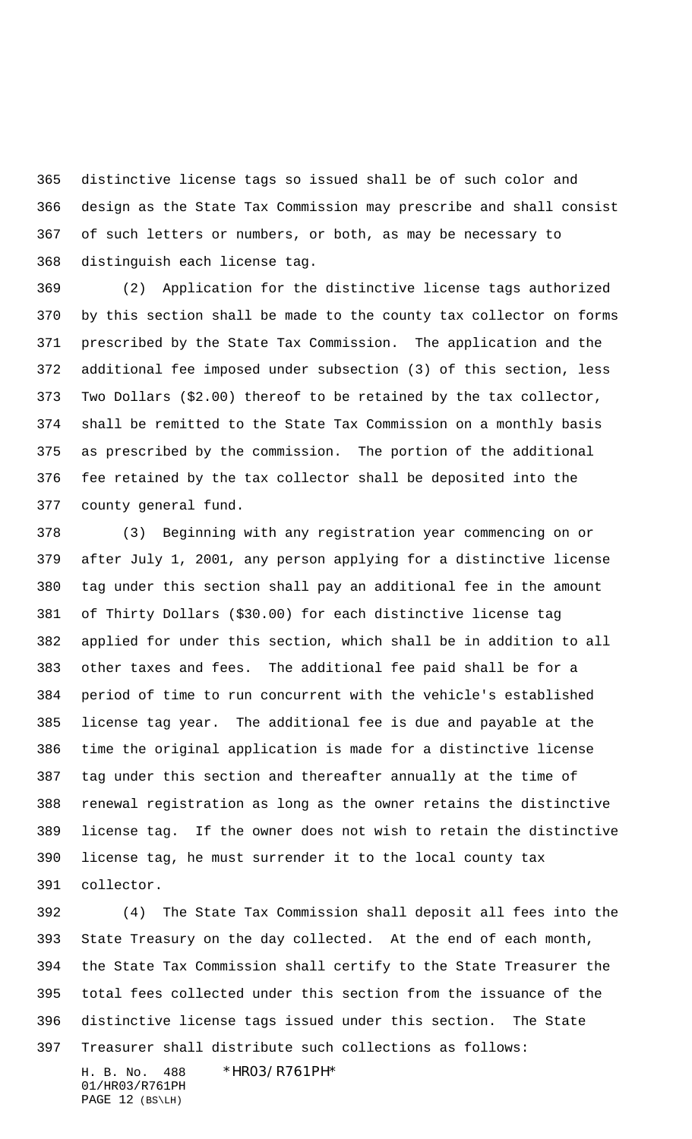distinctive license tags so issued shall be of such color and design as the State Tax Commission may prescribe and shall consist of such letters or numbers, or both, as may be necessary to distinguish each license tag.

 (2) Application for the distinctive license tags authorized by this section shall be made to the county tax collector on forms prescribed by the State Tax Commission. The application and the additional fee imposed under subsection (3) of this section, less Two Dollars (\$2.00) thereof to be retained by the tax collector, shall be remitted to the State Tax Commission on a monthly basis as prescribed by the commission. The portion of the additional fee retained by the tax collector shall be deposited into the county general fund.

 (3) Beginning with any registration year commencing on or after July 1, 2001, any person applying for a distinctive license tag under this section shall pay an additional fee in the amount of Thirty Dollars (\$30.00) for each distinctive license tag applied for under this section, which shall be in addition to all other taxes and fees. The additional fee paid shall be for a period of time to run concurrent with the vehicle's established license tag year. The additional fee is due and payable at the time the original application is made for a distinctive license tag under this section and thereafter annually at the time of renewal registration as long as the owner retains the distinctive license tag. If the owner does not wish to retain the distinctive license tag, he must surrender it to the local county tax collector.

 (4) The State Tax Commission shall deposit all fees into the State Treasury on the day collected. At the end of each month, the State Tax Commission shall certify to the State Treasurer the total fees collected under this section from the issuance of the distinctive license tags issued under this section. The State Treasurer shall distribute such collections as follows:

01/HR03/R761PH PAGE 12 (BS\LH)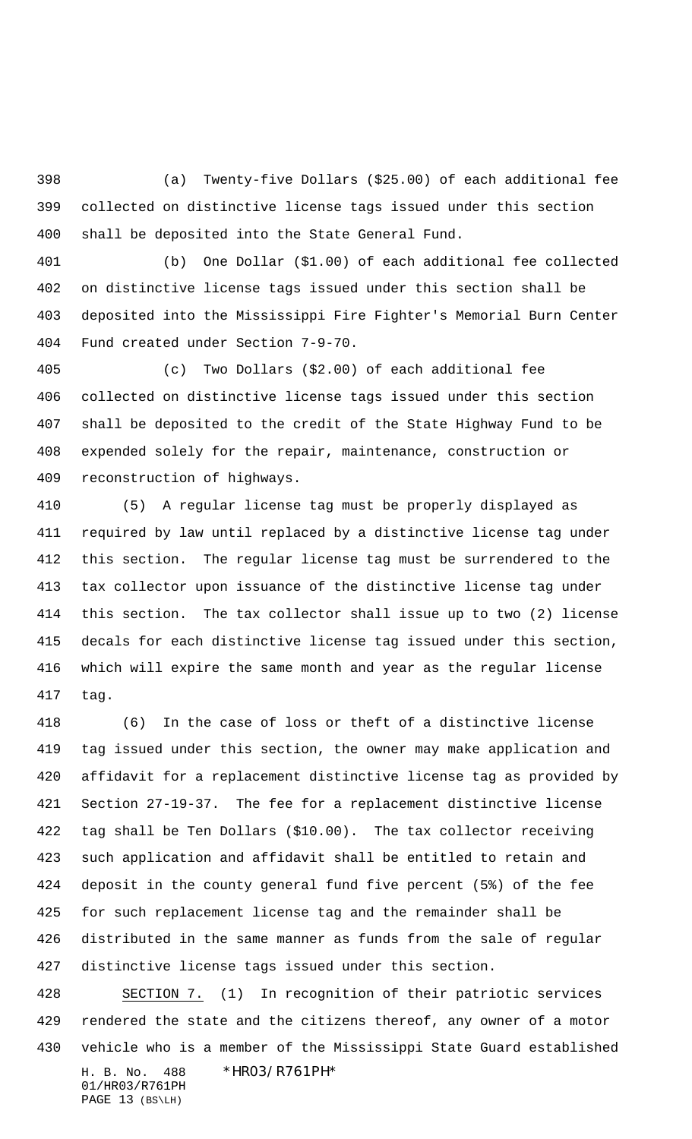(a) Twenty-five Dollars (\$25.00) of each additional fee collected on distinctive license tags issued under this section shall be deposited into the State General Fund.

 (b) One Dollar (\$1.00) of each additional fee collected on distinctive license tags issued under this section shall be deposited into the Mississippi Fire Fighter's Memorial Burn Center Fund created under Section 7-9-70.

 (c) Two Dollars (\$2.00) of each additional fee collected on distinctive license tags issued under this section shall be deposited to the credit of the State Highway Fund to be expended solely for the repair, maintenance, construction or reconstruction of highways.

 (5) A regular license tag must be properly displayed as required by law until replaced by a distinctive license tag under this section. The regular license tag must be surrendered to the tax collector upon issuance of the distinctive license tag under this section. The tax collector shall issue up to two (2) license decals for each distinctive license tag issued under this section, which will expire the same month and year as the regular license tag.

 (6) In the case of loss or theft of a distinctive license tag issued under this section, the owner may make application and affidavit for a replacement distinctive license tag as provided by Section 27-19-37. The fee for a replacement distinctive license tag shall be Ten Dollars (\$10.00). The tax collector receiving such application and affidavit shall be entitled to retain and deposit in the county general fund five percent (5%) of the fee for such replacement license tag and the remainder shall be distributed in the same manner as funds from the sale of regular distinctive license tags issued under this section.

H. B. No. 488 \*HR03/R761PH\* 01/HR03/R761PH SECTION 7. (1) In recognition of their patriotic services rendered the state and the citizens thereof, any owner of a motor vehicle who is a member of the Mississippi State Guard established

PAGE 13 (BS\LH)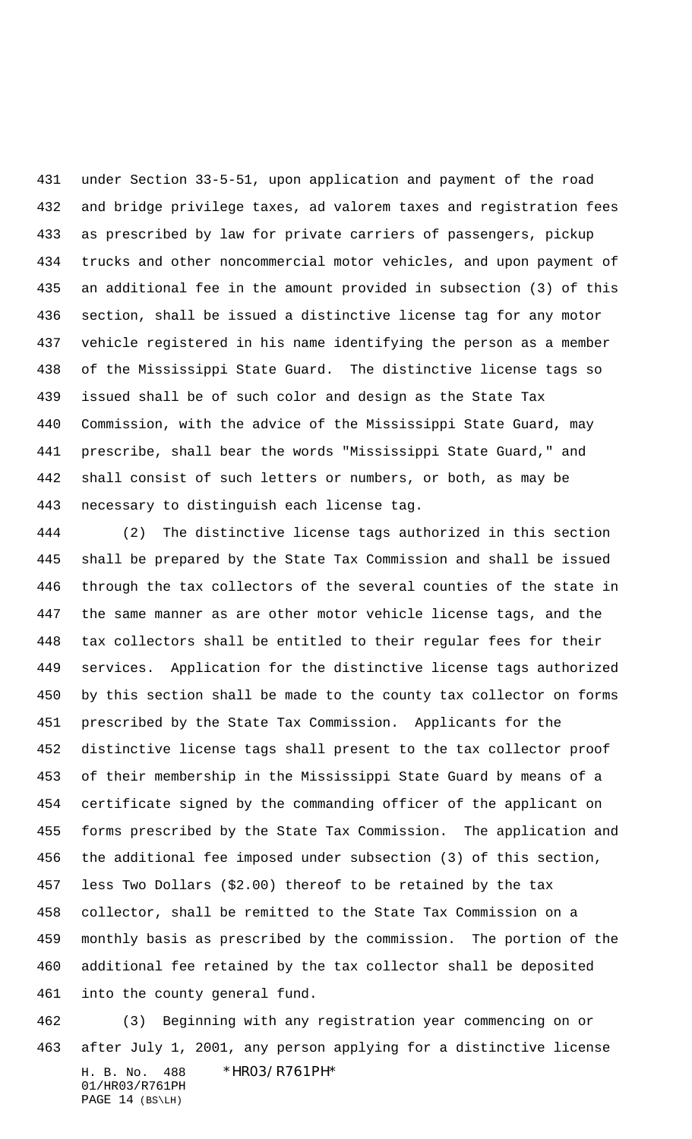under Section 33-5-51, upon application and payment of the road and bridge privilege taxes, ad valorem taxes and registration fees as prescribed by law for private carriers of passengers, pickup trucks and other noncommercial motor vehicles, and upon payment of an additional fee in the amount provided in subsection (3) of this section, shall be issued a distinctive license tag for any motor vehicle registered in his name identifying the person as a member of the Mississippi State Guard. The distinctive license tags so issued shall be of such color and design as the State Tax Commission, with the advice of the Mississippi State Guard, may prescribe, shall bear the words "Mississippi State Guard," and shall consist of such letters or numbers, or both, as may be necessary to distinguish each license tag.

 (2) The distinctive license tags authorized in this section shall be prepared by the State Tax Commission and shall be issued through the tax collectors of the several counties of the state in the same manner as are other motor vehicle license tags, and the tax collectors shall be entitled to their regular fees for their services. Application for the distinctive license tags authorized by this section shall be made to the county tax collector on forms prescribed by the State Tax Commission. Applicants for the distinctive license tags shall present to the tax collector proof of their membership in the Mississippi State Guard by means of a certificate signed by the commanding officer of the applicant on forms prescribed by the State Tax Commission. The application and the additional fee imposed under subsection (3) of this section, less Two Dollars (\$2.00) thereof to be retained by the tax collector, shall be remitted to the State Tax Commission on a monthly basis as prescribed by the commission. The portion of the additional fee retained by the tax collector shall be deposited into the county general fund.

H. B. No. 488 \*HR03/R761PH\* 01/HR03/R761PH PAGE 14 (BS\LH) (3) Beginning with any registration year commencing on or after July 1, 2001, any person applying for a distinctive license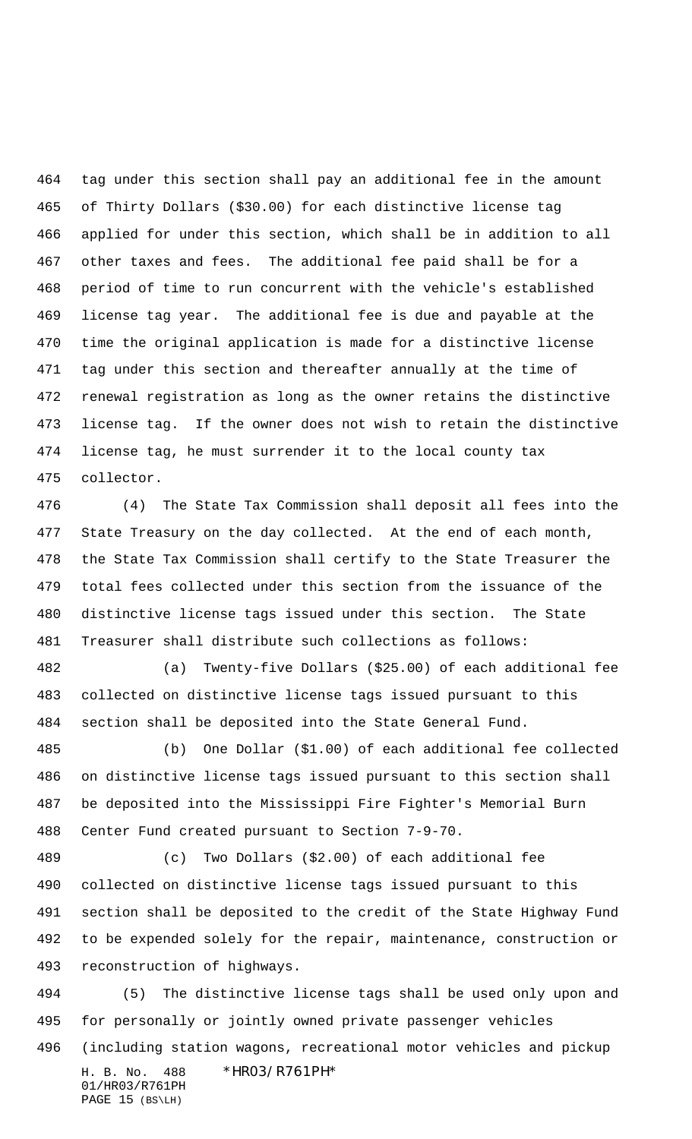tag under this section shall pay an additional fee in the amount of Thirty Dollars (\$30.00) for each distinctive license tag applied for under this section, which shall be in addition to all other taxes and fees. The additional fee paid shall be for a period of time to run concurrent with the vehicle's established license tag year. The additional fee is due and payable at the time the original application is made for a distinctive license tag under this section and thereafter annually at the time of renewal registration as long as the owner retains the distinctive license tag. If the owner does not wish to retain the distinctive license tag, he must surrender it to the local county tax collector.

 (4) The State Tax Commission shall deposit all fees into the State Treasury on the day collected. At the end of each month, the State Tax Commission shall certify to the State Treasurer the total fees collected under this section from the issuance of the distinctive license tags issued under this section. The State Treasurer shall distribute such collections as follows:

 (a) Twenty-five Dollars (\$25.00) of each additional fee collected on distinctive license tags issued pursuant to this section shall be deposited into the State General Fund.

 (b) One Dollar (\$1.00) of each additional fee collected on distinctive license tags issued pursuant to this section shall be deposited into the Mississippi Fire Fighter's Memorial Burn Center Fund created pursuant to Section 7-9-70.

 (c) Two Dollars (\$2.00) of each additional fee collected on distinctive license tags issued pursuant to this section shall be deposited to the credit of the State Highway Fund to be expended solely for the repair, maintenance, construction or reconstruction of highways.

H. B. No. 488 \*HR03/R761PH\* 01/HR03/R761PH (5) The distinctive license tags shall be used only upon and for personally or jointly owned private passenger vehicles (including station wagons, recreational motor vehicles and pickup

PAGE 15 (BS\LH)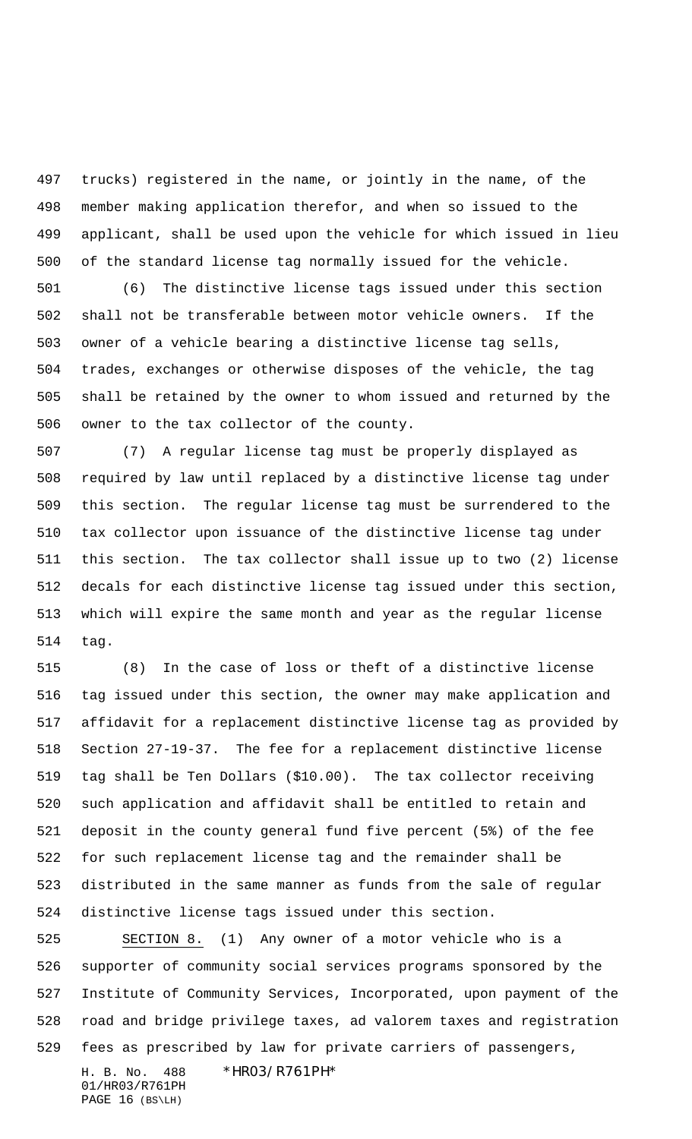trucks) registered in the name, or jointly in the name, of the member making application therefor, and when so issued to the applicant, shall be used upon the vehicle for which issued in lieu of the standard license tag normally issued for the vehicle.

 (6) The distinctive license tags issued under this section shall not be transferable between motor vehicle owners. If the owner of a vehicle bearing a distinctive license tag sells, trades, exchanges or otherwise disposes of the vehicle, the tag shall be retained by the owner to whom issued and returned by the owner to the tax collector of the county.

 (7) A regular license tag must be properly displayed as required by law until replaced by a distinctive license tag under this section. The regular license tag must be surrendered to the tax collector upon issuance of the distinctive license tag under this section. The tax collector shall issue up to two (2) license decals for each distinctive license tag issued under this section, which will expire the same month and year as the regular license tag.

 (8) In the case of loss or theft of a distinctive license tag issued under this section, the owner may make application and affidavit for a replacement distinctive license tag as provided by Section 27-19-37. The fee for a replacement distinctive license tag shall be Ten Dollars (\$10.00). The tax collector receiving such application and affidavit shall be entitled to retain and deposit in the county general fund five percent (5%) of the fee for such replacement license tag and the remainder shall be distributed in the same manner as funds from the sale of regular distinctive license tags issued under this section.

 SECTION 8. (1) Any owner of a motor vehicle who is a supporter of community social services programs sponsored by the Institute of Community Services, Incorporated, upon payment of the road and bridge privilege taxes, ad valorem taxes and registration fees as prescribed by law for private carriers of passengers,

01/HR03/R761PH PAGE 16 (BS\LH)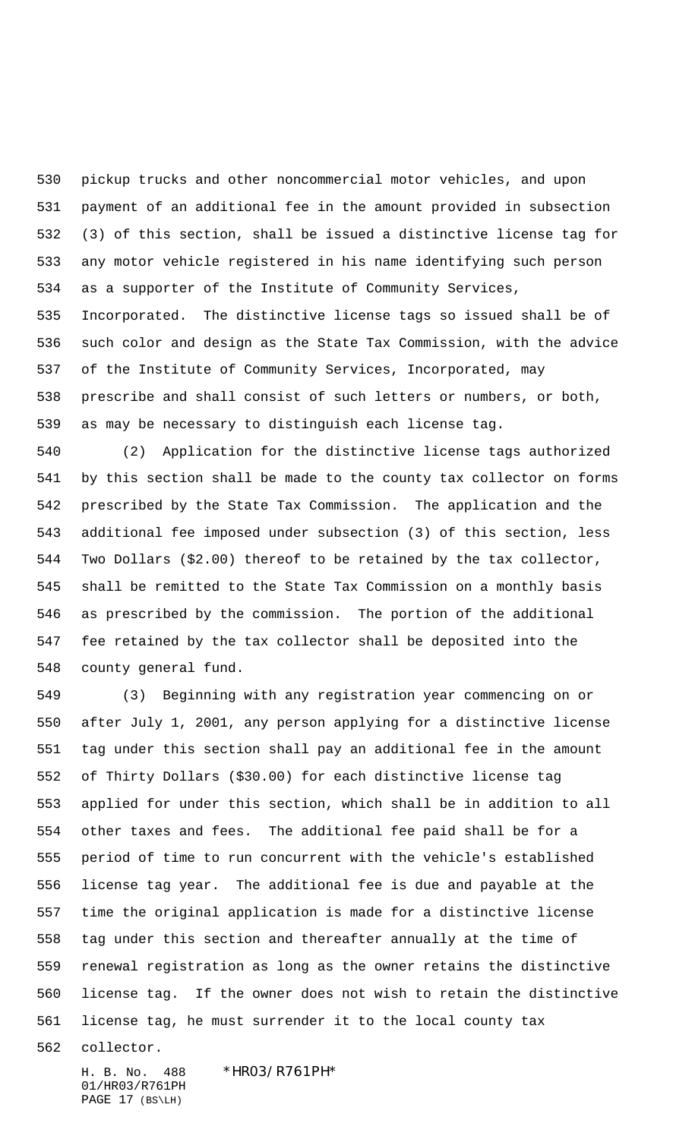pickup trucks and other noncommercial motor vehicles, and upon payment of an additional fee in the amount provided in subsection (3) of this section, shall be issued a distinctive license tag for any motor vehicle registered in his name identifying such person as a supporter of the Institute of Community Services, Incorporated. The distinctive license tags so issued shall be of such color and design as the State Tax Commission, with the advice of the Institute of Community Services, Incorporated, may prescribe and shall consist of such letters or numbers, or both, as may be necessary to distinguish each license tag.

 (2) Application for the distinctive license tags authorized by this section shall be made to the county tax collector on forms prescribed by the State Tax Commission. The application and the additional fee imposed under subsection (3) of this section, less Two Dollars (\$2.00) thereof to be retained by the tax collector, shall be remitted to the State Tax Commission on a monthly basis as prescribed by the commission. The portion of the additional fee retained by the tax collector shall be deposited into the county general fund.

 (3) Beginning with any registration year commencing on or after July 1, 2001, any person applying for a distinctive license tag under this section shall pay an additional fee in the amount of Thirty Dollars (\$30.00) for each distinctive license tag applied for under this section, which shall be in addition to all other taxes and fees. The additional fee paid shall be for a period of time to run concurrent with the vehicle's established license tag year. The additional fee is due and payable at the time the original application is made for a distinctive license tag under this section and thereafter annually at the time of renewal registration as long as the owner retains the distinctive license tag. If the owner does not wish to retain the distinctive license tag, he must surrender it to the local county tax

collector.

01/HR03/R761PH PAGE 17 (BS\LH)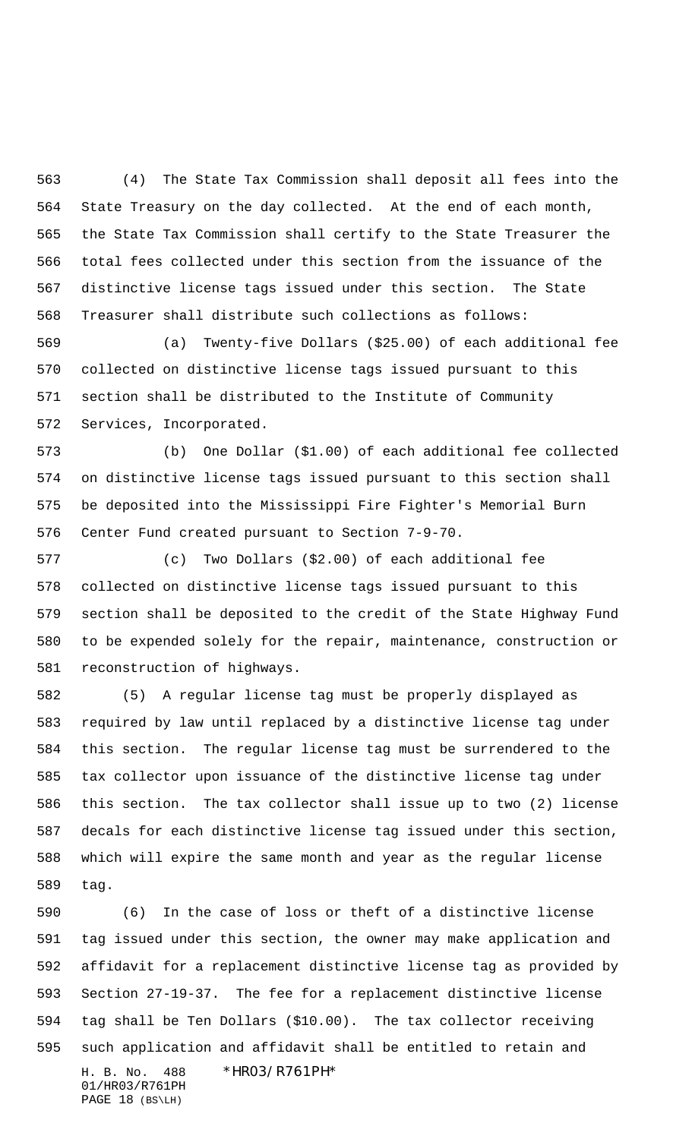(4) The State Tax Commission shall deposit all fees into the State Treasury on the day collected. At the end of each month, the State Tax Commission shall certify to the State Treasurer the total fees collected under this section from the issuance of the distinctive license tags issued under this section. The State Treasurer shall distribute such collections as follows:

 (a) Twenty-five Dollars (\$25.00) of each additional fee collected on distinctive license tags issued pursuant to this section shall be distributed to the Institute of Community Services, Incorporated.

 (b) One Dollar (\$1.00) of each additional fee collected on distinctive license tags issued pursuant to this section shall be deposited into the Mississippi Fire Fighter's Memorial Burn Center Fund created pursuant to Section 7-9-70.

 (c) Two Dollars (\$2.00) of each additional fee collected on distinctive license tags issued pursuant to this section shall be deposited to the credit of the State Highway Fund to be expended solely for the repair, maintenance, construction or reconstruction of highways.

 (5) A regular license tag must be properly displayed as required by law until replaced by a distinctive license tag under this section. The regular license tag must be surrendered to the tax collector upon issuance of the distinctive license tag under this section. The tax collector shall issue up to two (2) license decals for each distinctive license tag issued under this section, which will expire the same month and year as the regular license tag.

H. B. No. 488 \*HR03/R761PH\* (6) In the case of loss or theft of a distinctive license tag issued under this section, the owner may make application and affidavit for a replacement distinctive license tag as provided by Section 27-19-37. The fee for a replacement distinctive license tag shall be Ten Dollars (\$10.00). The tax collector receiving such application and affidavit shall be entitled to retain and

01/HR03/R761PH PAGE 18 (BS\LH)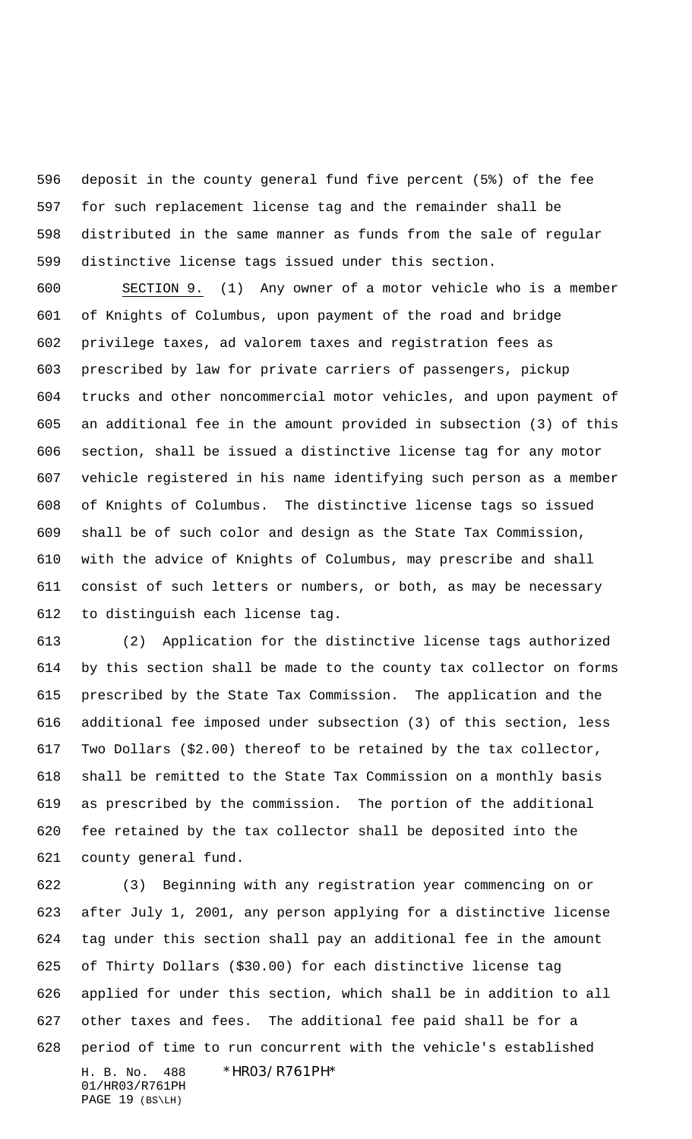deposit in the county general fund five percent (5%) of the fee for such replacement license tag and the remainder shall be distributed in the same manner as funds from the sale of regular distinctive license tags issued under this section.

 SECTION 9. (1) Any owner of a motor vehicle who is a member of Knights of Columbus, upon payment of the road and bridge privilege taxes, ad valorem taxes and registration fees as prescribed by law for private carriers of passengers, pickup trucks and other noncommercial motor vehicles, and upon payment of an additional fee in the amount provided in subsection (3) of this section, shall be issued a distinctive license tag for any motor vehicle registered in his name identifying such person as a member of Knights of Columbus. The distinctive license tags so issued shall be of such color and design as the State Tax Commission, with the advice of Knights of Columbus, may prescribe and shall consist of such letters or numbers, or both, as may be necessary to distinguish each license tag.

 (2) Application for the distinctive license tags authorized by this section shall be made to the county tax collector on forms prescribed by the State Tax Commission. The application and the additional fee imposed under subsection (3) of this section, less Two Dollars (\$2.00) thereof to be retained by the tax collector, shall be remitted to the State Tax Commission on a monthly basis as prescribed by the commission. The portion of the additional fee retained by the tax collector shall be deposited into the county general fund.

H. B. No. 488 \*HR03/R761PH\* (3) Beginning with any registration year commencing on or after July 1, 2001, any person applying for a distinctive license tag under this section shall pay an additional fee in the amount of Thirty Dollars (\$30.00) for each distinctive license tag applied for under this section, which shall be in addition to all other taxes and fees. The additional fee paid shall be for a period of time to run concurrent with the vehicle's established

```
01/HR03/R761PH
PAGE 19 (BS\LH)
```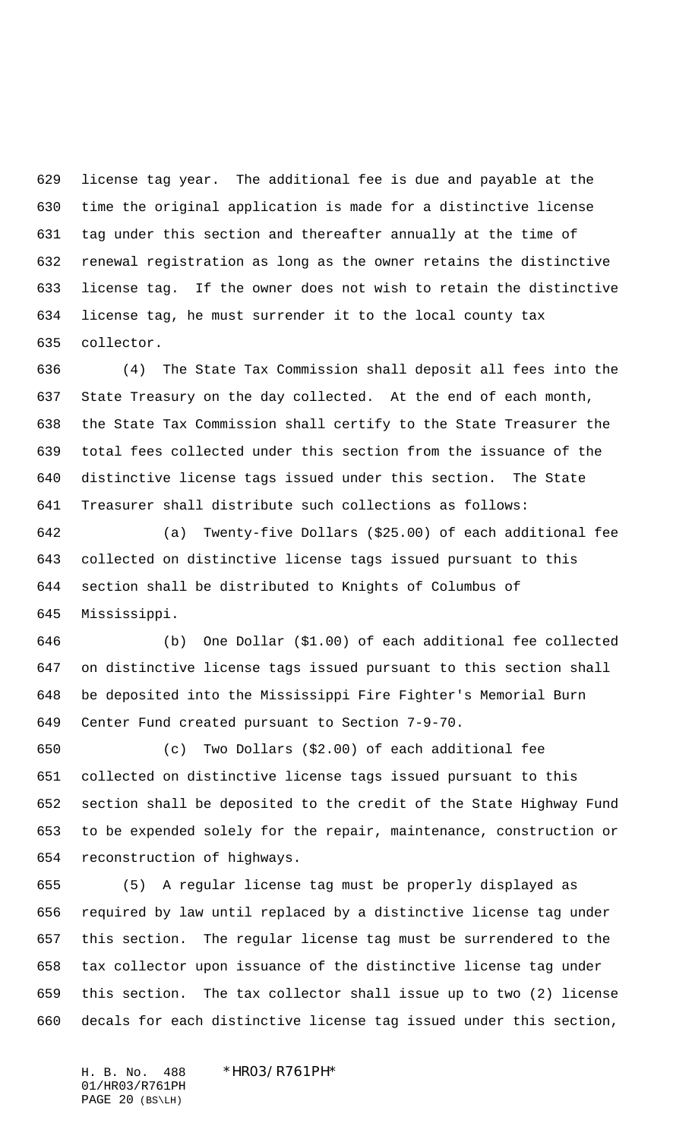license tag year. The additional fee is due and payable at the time the original application is made for a distinctive license tag under this section and thereafter annually at the time of renewal registration as long as the owner retains the distinctive license tag. If the owner does not wish to retain the distinctive license tag, he must surrender it to the local county tax collector.

 (4) The State Tax Commission shall deposit all fees into the State Treasury on the day collected. At the end of each month, the State Tax Commission shall certify to the State Treasurer the total fees collected under this section from the issuance of the distinctive license tags issued under this section. The State Treasurer shall distribute such collections as follows:

 (a) Twenty-five Dollars (\$25.00) of each additional fee collected on distinctive license tags issued pursuant to this section shall be distributed to Knights of Columbus of Mississippi.

 (b) One Dollar (\$1.00) of each additional fee collected on distinctive license tags issued pursuant to this section shall be deposited into the Mississippi Fire Fighter's Memorial Burn Center Fund created pursuant to Section 7-9-70.

 (c) Two Dollars (\$2.00) of each additional fee collected on distinctive license tags issued pursuant to this section shall be deposited to the credit of the State Highway Fund to be expended solely for the repair, maintenance, construction or reconstruction of highways.

 (5) A regular license tag must be properly displayed as required by law until replaced by a distinctive license tag under this section. The regular license tag must be surrendered to the tax collector upon issuance of the distinctive license tag under this section. The tax collector shall issue up to two (2) license decals for each distinctive license tag issued under this section,

H. B. No. 488 \*HR03/R761PH\* 01/HR03/R761PH PAGE 20 (BS\LH)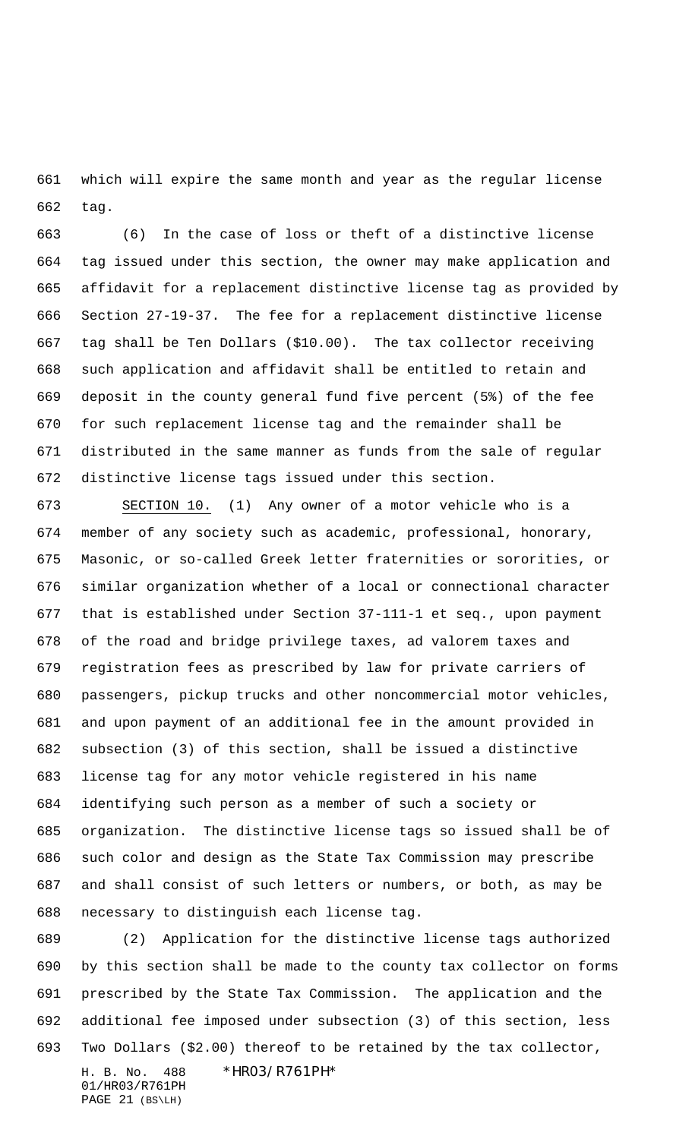which will expire the same month and year as the regular license tag.

 (6) In the case of loss or theft of a distinctive license tag issued under this section, the owner may make application and affidavit for a replacement distinctive license tag as provided by Section 27-19-37. The fee for a replacement distinctive license tag shall be Ten Dollars (\$10.00). The tax collector receiving such application and affidavit shall be entitled to retain and deposit in the county general fund five percent (5%) of the fee for such replacement license tag and the remainder shall be distributed in the same manner as funds from the sale of regular distinctive license tags issued under this section.

 SECTION 10. (1) Any owner of a motor vehicle who is a member of any society such as academic, professional, honorary, Masonic, or so-called Greek letter fraternities or sororities, or similar organization whether of a local or connectional character that is established under Section 37-111-1 et seq., upon payment of the road and bridge privilege taxes, ad valorem taxes and registration fees as prescribed by law for private carriers of passengers, pickup trucks and other noncommercial motor vehicles, and upon payment of an additional fee in the amount provided in subsection (3) of this section, shall be issued a distinctive license tag for any motor vehicle registered in his name identifying such person as a member of such a society or organization. The distinctive license tags so issued shall be of such color and design as the State Tax Commission may prescribe and shall consist of such letters or numbers, or both, as may be necessary to distinguish each license tag.

 (2) Application for the distinctive license tags authorized by this section shall be made to the county tax collector on forms prescribed by the State Tax Commission. The application and the additional fee imposed under subsection (3) of this section, less Two Dollars (\$2.00) thereof to be retained by the tax collector,

01/HR03/R761PH PAGE 21 (BS\LH)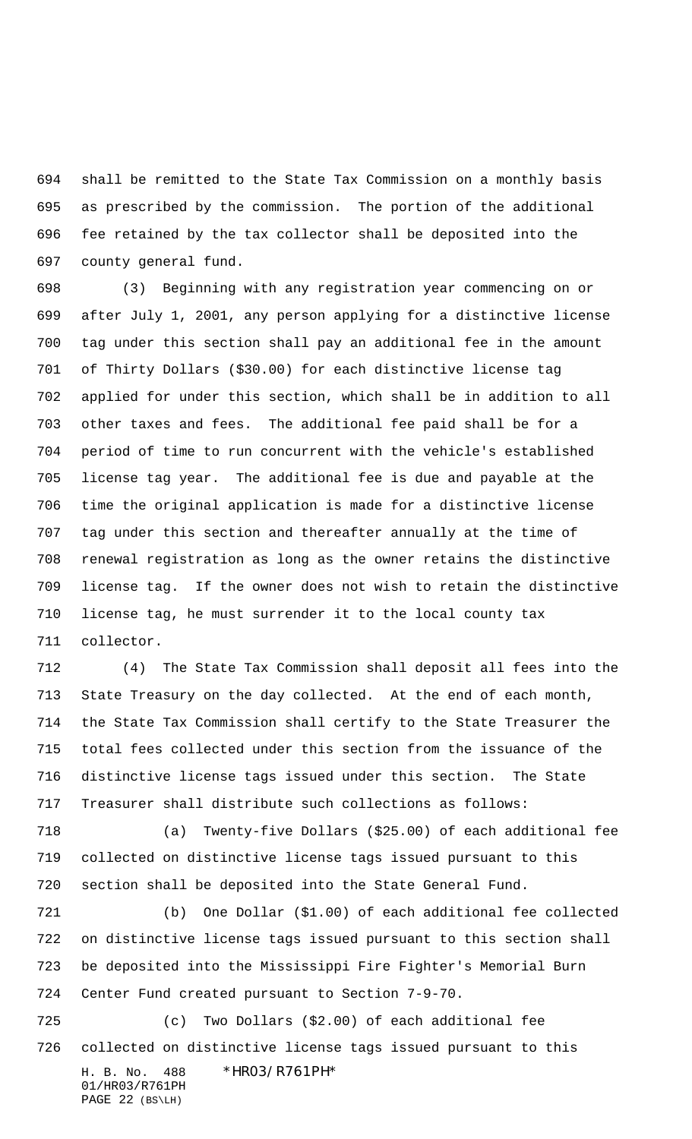shall be remitted to the State Tax Commission on a monthly basis as prescribed by the commission. The portion of the additional fee retained by the tax collector shall be deposited into the county general fund.

 (3) Beginning with any registration year commencing on or after July 1, 2001, any person applying for a distinctive license tag under this section shall pay an additional fee in the amount of Thirty Dollars (\$30.00) for each distinctive license tag applied for under this section, which shall be in addition to all other taxes and fees. The additional fee paid shall be for a period of time to run concurrent with the vehicle's established license tag year. The additional fee is due and payable at the time the original application is made for a distinctive license tag under this section and thereafter annually at the time of renewal registration as long as the owner retains the distinctive license tag. If the owner does not wish to retain the distinctive license tag, he must surrender it to the local county tax collector.

 (4) The State Tax Commission shall deposit all fees into the State Treasury on the day collected. At the end of each month, the State Tax Commission shall certify to the State Treasurer the total fees collected under this section from the issuance of the distinctive license tags issued under this section. The State Treasurer shall distribute such collections as follows:

 (a) Twenty-five Dollars (\$25.00) of each additional fee collected on distinctive license tags issued pursuant to this section shall be deposited into the State General Fund.

 (b) One Dollar (\$1.00) of each additional fee collected on distinctive license tags issued pursuant to this section shall be deposited into the Mississippi Fire Fighter's Memorial Burn Center Fund created pursuant to Section 7-9-70.

H. B. No. 488 \*HR03/R761PH\* (c) Two Dollars (\$2.00) of each additional fee collected on distinctive license tags issued pursuant to this

01/HR03/R761PH PAGE 22 (BS\LH)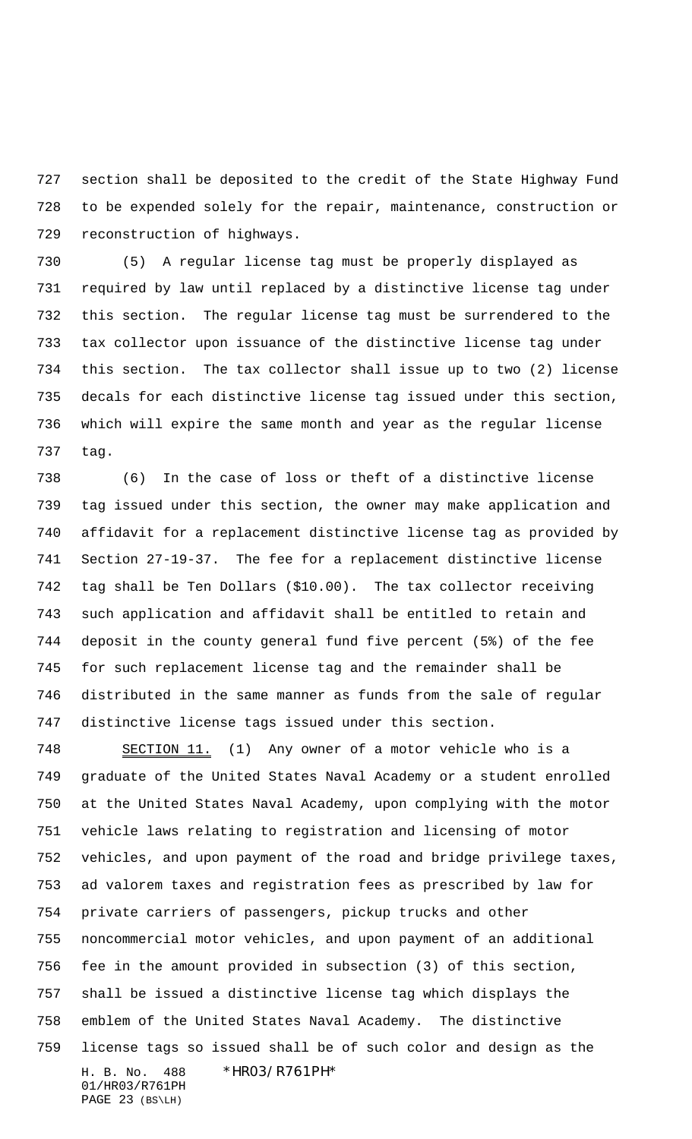section shall be deposited to the credit of the State Highway Fund to be expended solely for the repair, maintenance, construction or reconstruction of highways.

 (5) A regular license tag must be properly displayed as required by law until replaced by a distinctive license tag under this section. The regular license tag must be surrendered to the tax collector upon issuance of the distinctive license tag under this section. The tax collector shall issue up to two (2) license decals for each distinctive license tag issued under this section, which will expire the same month and year as the regular license tag.

 (6) In the case of loss or theft of a distinctive license tag issued under this section, the owner may make application and affidavit for a replacement distinctive license tag as provided by Section 27-19-37. The fee for a replacement distinctive license tag shall be Ten Dollars (\$10.00). The tax collector receiving such application and affidavit shall be entitled to retain and deposit in the county general fund five percent (5%) of the fee for such replacement license tag and the remainder shall be distributed in the same manner as funds from the sale of regular distinctive license tags issued under this section.

H. B. No. 488 \*HR03/R761PH\* 01/HR03/R761PH SECTION 11. (1) Any owner of a motor vehicle who is a graduate of the United States Naval Academy or a student enrolled at the United States Naval Academy, upon complying with the motor vehicle laws relating to registration and licensing of motor vehicles, and upon payment of the road and bridge privilege taxes, ad valorem taxes and registration fees as prescribed by law for private carriers of passengers, pickup trucks and other noncommercial motor vehicles, and upon payment of an additional fee in the amount provided in subsection (3) of this section, shall be issued a distinctive license tag which displays the emblem of the United States Naval Academy. The distinctive license tags so issued shall be of such color and design as the

PAGE 23 (BS\LH)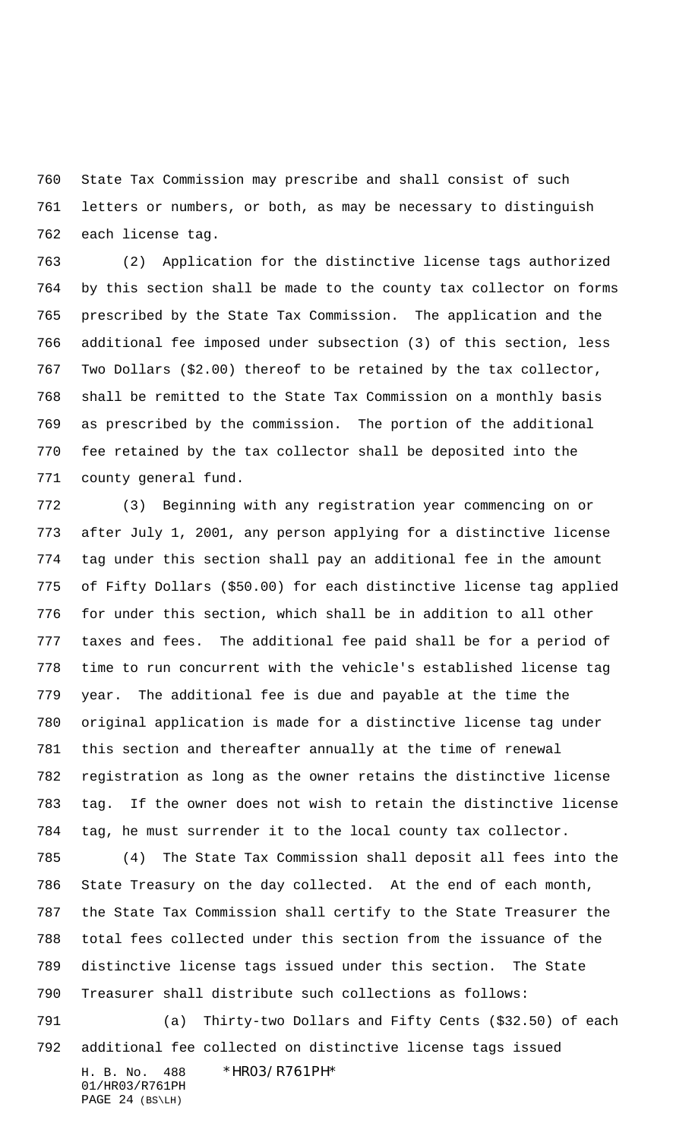State Tax Commission may prescribe and shall consist of such letters or numbers, or both, as may be necessary to distinguish each license tag.

 (2) Application for the distinctive license tags authorized by this section shall be made to the county tax collector on forms prescribed by the State Tax Commission. The application and the additional fee imposed under subsection (3) of this section, less Two Dollars (\$2.00) thereof to be retained by the tax collector, shall be remitted to the State Tax Commission on a monthly basis as prescribed by the commission. The portion of the additional fee retained by the tax collector shall be deposited into the county general fund.

 (3) Beginning with any registration year commencing on or after July 1, 2001, any person applying for a distinctive license tag under this section shall pay an additional fee in the amount of Fifty Dollars (\$50.00) for each distinctive license tag applied for under this section, which shall be in addition to all other taxes and fees. The additional fee paid shall be for a period of time to run concurrent with the vehicle's established license tag year. The additional fee is due and payable at the time the original application is made for a distinctive license tag under this section and thereafter annually at the time of renewal registration as long as the owner retains the distinctive license tag. If the owner does not wish to retain the distinctive license tag, he must surrender it to the local county tax collector.

 (4) The State Tax Commission shall deposit all fees into the State Treasury on the day collected. At the end of each month, the State Tax Commission shall certify to the State Treasurer the total fees collected under this section from the issuance of the distinctive license tags issued under this section. The State Treasurer shall distribute such collections as follows:

 (a) Thirty-two Dollars and Fifty Cents (\$32.50) of each additional fee collected on distinctive license tags issued

01/HR03/R761PH PAGE 24 (BS\LH)